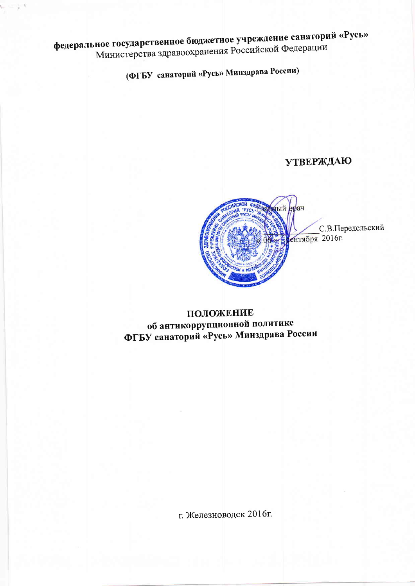федеральное государственное бюджетное учреждение санаторий «Русь» Министерства здравоохранения Российской Федерации

(ФГБУ санаторий «Русь» Минздрава России)

**УТВЕРЖДАЮ** 



### ПОЛОЖЕНИЕ об антикоррупционной политике ФГБУ санаторий «Русь» Минздрава России

г. Железноводск 2016г.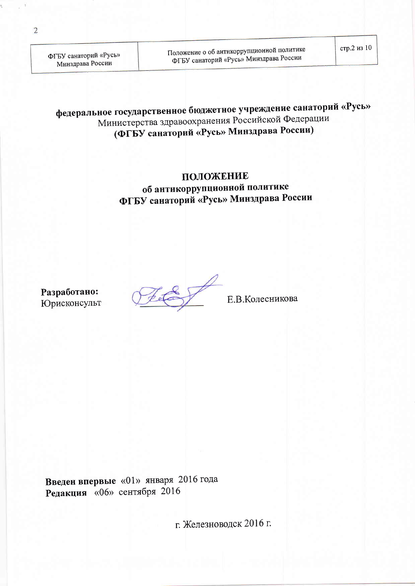федеральное государственное бюджетное учреждение санаторий «Русь» Министерства здравоохранения Российской Федерации (ФГБУ санаторий «Русь» Минздрава России)

### ПОЛОЖЕНИЕ об антикоррупционной политике ФГБУ санаторий «Русь» Минздрава России

Разработано: Юрисконсульт

Е.В.Колесникова

Введен впервые «01» января 2016 года Редакция «06» сентября 2016

г. Железноводск 2016 г.

 $\overline{2}$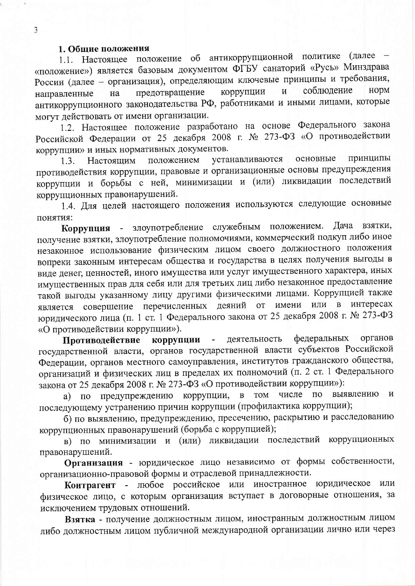#### 1. Общие положения

1.1. Настоящее положение об антикоррупционной политике (далее -«положение») является базовым документом ФГБУ санаторий «Русь» Минздрава России (далее - организация), определяющим ключевые принципы и требования, соблюдение HODM  $\mathbf{M}$ предотвращение коррупции направленные на антикоррупционного законодательства РФ, работниками и иными лицами, которые могут действовать от имени организации.

1.2. Настоящее положение разработано на основе Федерального закона Российской Федерации от 25 декабря 2008 г. № 273-ФЗ «О противодействии коррупции» и иных нормативных документов.

устанавливаются принципы основные положением Настоящим  $1.3.$ противодействия коррупции, правовые и организационные основы предупреждения коррупции и борьбы с ней, минимизации и (или) ликвидации последствий коррупционных правонарушений.

1.4. Для целей настоящего положения используются следующие основные понятия:

- злоупотребление служебным положением. Дача взятки, Коррупция получение взятки, злоупотребление полномочиями, коммерческий подкуп либо иное незаконное использование физическим лицом своего должностного положения вопреки законным интересам общества и государства в целях получения выгоды в виде денег, ценностей, иного имущества или услуг имущественного характера, иных имущественных прав для себя или для третьих лиц либо незаконное предоставление такой выгоды указанному лицу другими физическими лицами. Коррупцией также является совершение перечисленных деяний от имени или в интересах юридического лица (п. 1 ст. 1 Федерального закона от 25 декабря 2008 г. № 273-ФЗ «О противодействии коррупции»).

федеральных деятельность органов Противодействие коррупции государственной власти, органов государственной власти субъектов Российской Федерации, органов местного самоуправления, институтов гражданского общества, организаций и физических лиц в пределах их полномочий (п. 2 ст. 1 Федерального закона от 25 декабря 2008 г. № 273-ФЗ «О противодействии коррупции»):

выявлению а) по предупреждению коррупции, **TOM** числе по  $\mathbf{M}$  $\mathbf{B}$ последующему устранению причин коррупции (профилактика коррупции);

б) по выявлению, предупреждению, пресечению, раскрытию и расследованию коррупционных правонарушений (борьба с коррупцией);

в) по минимизации и (или) ликвидации последствий коррупционных правонарушений.

Организация - юридическое лицо независимо от формы собственности, организационно-правовой формы и отраслевой принадлежности.

Контрагент - любое российское или иностранное юридическое или физическое лицо, с которым организация вступает в договорные отношения, за исключением трудовых отношений.

Взятка - получение должностным лицом, иностранным должностным лицом либо должностным лицом публичной международной организации лично или через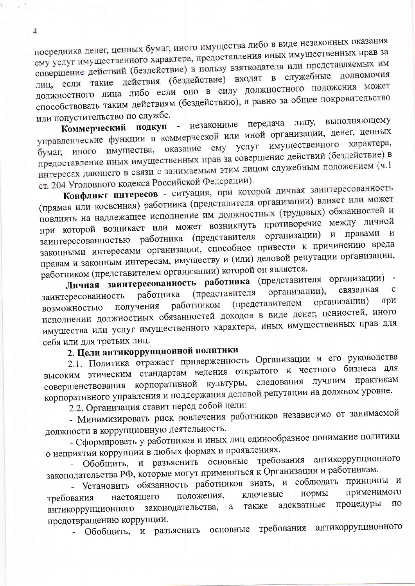посредника денег, ценных бумаг, иного имущества либо в виде незаконных оказания ему услуг имущественного характера, предоставления иных имущественных прав за совершение действий (бездействие) в пользу взяткодателя или представляемых им лиц, если такие действия (бездействие) входят в служебные полномочия должностного лица либо если оно в силу должностного положения может способствовать таким действиям (бездействию), а равно за общее покровительство или попустительство по службе.

Коммерческий подкуп - незаконные передача лицу, выполняющему управленческие функции в коммерческой или иной организации, денег, ценных бумаг, иного имущества, оказание ему услуг имущественного характера, предоставление иных имущественных прав за совершение действий (бездействие) в интересах дающего в связи с занимаемым этим лицом служебным положением (ч.1 ст. 204 Уголовного кодекса Российской Федерации).

Конфликт интересов - ситуация, при которой личная заинтересованность (прямая или косвенная) работника (представителя организации) влияет или может повлиять на надлежащее исполнение им должностных (трудовых) обязанностей и при которой возникает или может возникнуть противоречие между личной правами и организации)  $\mathbf{M}$ заинтересованностью работника (представителя законными интересами организации, способное привести к причинению вреда правам и законным интересам, имуществу и (или) деловой репутации организации, работником (представителем организации) которой он является.

Личная заинтересованность работника (представителя организации) связанная организации),  $\mathbf c$ (представителя работника заинтересованность организации) при (представителем работником получения возможностью исполнении должностных обязанностей доходов в виде денег, ценностей, иного имущества или услуг имущественного характера, иных имущественных прав для себя или для третьих лиц.

## 2. Цели антикоррупционной политики

2.1. Политика отражает приверженность Организации и его руководства высоким этическим стандартам ведения открытого и честного бизнеса для совершенствования корпоративной культуры, следования лучшим практикам корпоративного управления и поддержания деловой репутации на должном уровне.

2.2. Организация ставит перед собой цели:

- Минимизировать риск вовлечения работников независимо от занимаемой должности в коррупционную деятельность.

- Сформировать у работников и иных лиц единообразное понимание политики о неприятии коррупции в любых формах и проявлениях.

Обобщить, и разъяснить основные требования антикоррупционного законодательства РФ, которые могут применяться к Организации и работникам.

- Установить обязанность работников знать, и соблюдать принципы и применимого нормы ключевые положения, настоящего требования адекватные процедуры  $\overline{10}$ антикоррупционного законодательства, а также предотвращению коррупции.

требования антикоррупционного основные - Обобщить, и разъяснить

 $\overline{4}$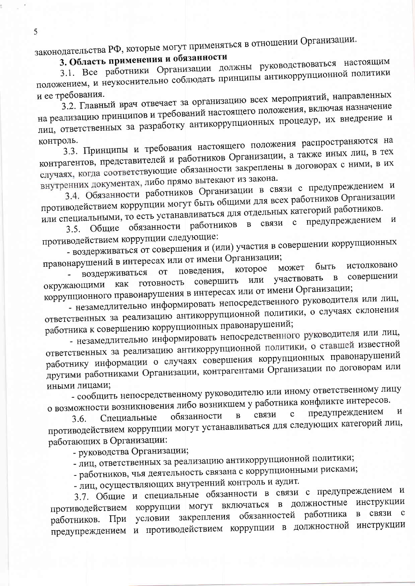законодательства РФ, которые могут применяться в отношении Организации.

# 3. Область применения и обязанности

3.1. Все работники Организации должны руководствоваться настоящим положением, и неукоснительно соблюдать принципы антикоррупционной политики и ее требования.

3.2. Главный врач отвечает за организацию всех мероприятий, направленных на реализацию принципов и требований настоящего положения, включая назначение лиц, ответственных за разработку антикоррупционных процедур, их внедрение и

3.3. Принципы и требования настоящего положения распространяются на контроль. контрагентов, представителей и работников Организации, а также иных лиц, в тех случаях, когда соответствующие обязанности закреплены в договорах с ними, в их внутренних документах, либо прямо вытекают из закона.

3.4. Обязанности работников Организации в связи с предупреждением и противодействием коррупции могут быть общими для всех работников Организации или специальными, то есть устанавливаться для отдельных категорий работников.

3.5. Общие обязанности работников в связи с предупреждением И противодействием коррупции следующие:

- воздерживаться от совершения и (или) участия в совершении коррупционных правонарушений в интересах или от имени Организации;

истолковано быть может которое поведения, воздерживаться **OT** или участвовать в совершении совершить как готовность окружающими коррупционного правонарушения в интересах или от имени Организации;

- незамедлительно информировать непосредственного руководителя или лиц, ответственных за реализацию антикоррупционной политики, о случаях склонения работника к совершению коррупционных правонарушений;

- незамедлительно информировать непосредственного руководителя или лиц,

ответственных за реализацию антикоррупционной политики, о ставшей известной работнику информации о случаях совершения коррупционных правонарушений другими работниками Организации, контрагентами Организации по договорам или иными лицами;

- сообщить непосредственному руководителю или иному ответственному лицу о возможности возникновения либо возникшем у работника конфликте интересов.

предупреждением  $\, {\rm N}$ связи  $\mathbf{C}$ обязанности  $\mathbf{B}$ Специальные  $3.6.$ противодействием коррупции могут устанавливаться для следующих категорий лиц, работающих в Организации:

- руководства Организации;

- лиц, ответственных за реализацию антикоррупционной политики;

- работников, чья деятельность связана с коррупционными рисками;

- лиц, осуществляющих внутренний контроль и аудит.

3.7. Общие и специальные обязанности в связи с предупреждением и противодействием коррупции могут включаться в должностные инструкции условии закрепления обязанностей работника связи с  $\, {\bf B} \,$ работников. При предупреждением и противодействием коррупции в должностной инструкции

5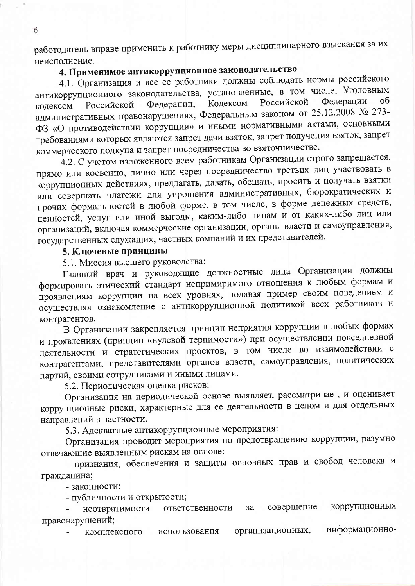работодатель вправе применить к работнику меры дисциплинарного взыскания за их неисполнение.

## 4. Применимое антикоррупционное законодательство

4.1. Организация и все ее работники должны соблюдать нормы российского антикоррупционного законодательства, установленные, в том числе, Уголовным Федерации об Российской Кодексом Федерации, Российской кодексом административных правонарушениях, Федеральным законом от 25.12.2008 № 273-ФЗ «О противодействии коррупции» и иными нормативными актами, основными требованиями которых являются запрет дачи взяток, запрет получения взяток, запрет коммерческого подкупа и запрет посредничества во взяточничестве.

4.2. С учетом изложенного всем работникам Организации строго запрещается, прямо или косвенно, лично или через посредничество третьих лиц участвовать в коррупционных действиях, предлагать, давать, обещать, просить и получать взятки или совершать платежи для упрощения административных, бюрократических и прочих формальностей в любой форме, в том числе, в форме денежных средств, ценностей, услуг или иной выгоды, каким-либо лицам и от каких-либо лиц или организаций, включая коммерческие организации, органы власти и самоуправления, государственных служащих, частных компаний и их представителей.

#### 5. Ключевые принципы

5.1. Миссия высшего руководства:

Главный врач и руководящие должностные лица Организации должны формировать этический стандарт непримиримого отношения к любым формам и проявлениям коррупции на всех уровнях, подавая пример своим поведением и осуществляя ознакомление с антикоррупционной политикой всех работников и контрагентов.

В Организации закрепляется принцип неприятия коррупции в любых формах и проявлениях (принцип «нулевой терпимости») при осуществлении повседневной деятельности и стратегических проектов, в том числе во взаимодействии с контрагентами, представителями органов власти, самоуправления, политических партий, своими сотрудниками и иными лицами.

5.2. Периодическая оценка рисков:

Организация на периодической основе выявляет, рассматривает, и оценивает коррупционные риски, характерные для ее деятельности в целом и для отдельных направлений в частности.

5.3. Адекватные антикоррупционные мероприятия:

Организация проводит мероприятия по предотвращению коррупции, разумно отвечающие выявленным рискам на основе:

- признания, обеспечения и защиты основных прав и свобод человека и гражданина;

- законности;

- публичности и открытости;

совершение коррупционных ответственности  $3a$ неотвратимости правонарушений;

информационноорганизационных, комплексного использования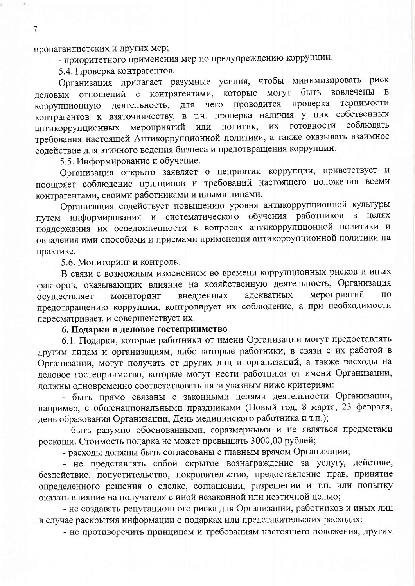пропагандистских и других мер;

- приоритетного применения мер по предупреждению коррупции.

5.4. Проверка контрагентов.

Организация прилагает разумные усилия, чтобы минимизировать риск которые могут быть вовлечены в отношений с контрагентами, деловых терпимости проводится проверка чего деятельность, для коррупционную контрагентов к взяточничеству, в т.ч. проверка наличия у них собственных готовности соблюдать мероприятий **HX** или политик, антикоррупционных требования настоящей Антикоррупционной политики, а также оказывать взаимное содействие для этичного ведения бизнеса и предотвращения коррупции.

5.5. Информирование и обучение.

Организация открыто заявляет о неприятии коррупции, приветствует и поощряет соблюдение принципов и требований настоящего положения всеми контрагентами, своими работниками и иными лицами.

Организация содействует повышению уровня антикоррупционной культуры путем информирования и систематического обучения работников в целях поддержания их осведомленности в вопросах антикоррупционной политики и овладения ими способами и приемами применения антикоррупционной политики на практике.

5.6. Мониторинг и контроль.

В связи с возможным изменением во времени коррупционных рисков и иных факторов, оказывающих влияние на хозяйственную деятельность, Организация мероприятий  $\overline{10}$ внедренных адекватных мониторинг осуществляет предотвращению коррупции, контролирует их соблюдение, а при необходимости пересматривает, и совершенствует их.

#### 6. Подарки и деловое гостеприимство

6.1. Подарки, которые работники от имени Организации могут предоставлять другим лицам и организациям, либо которые работники, в связи с их работой в Организации, могут получать от других лиц и организаций, а также расходы на деловое гостеприимство, которые могут нести работники от имени Организации, должны одновременно соответствовать пяти указным ниже критериям:

- быть прямо связаны с законными целями деятельности Организации, например, с общенациональными праздниками (Новый год, 8 марта, 23 февраля, день образования Организации, День медицинского работника и т.п.);

- быть разумно обоснованными, соразмерными и не являться предметами роскоши. Стоимость подарка не может превышать 3000,00 рублей;

- расходы должны быть согласованы с главным врачом Организации;

- не представлять собой скрытое вознаграждение за услугу, действие, бездействие, попустительство, покровительство, предоставление прав, принятие определенного решения о сделке, соглашении, разрешении и т.п. или попытку оказать влияние на получателя с иной незаконной или неэтичной целью;

- не создавать репутационного риска для Организации, работников и иных лиц в случае раскрытия информации о подарках или представительских расходах;

- не противоречить принципам и требованиям настоящего положения, другим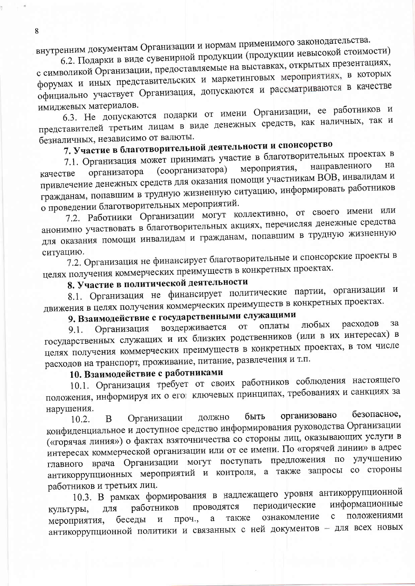$\overline{8}$ 

внутренним документам Организации и нормам применимого законодательства.

6.2. Подарки в виде сувенирной продукции (продукции невысокой стоимости)

с символикой Организации, предоставляемые на выставках, открытых презентациях, форумах и иных представительских и маркетинговых мероприятиях, в которых официально участвует Организация, допускаются и рассматриваются в качестве имиджевых материалов.

6.3. Не допускаются подарки от имени Организации, ее работников и представителей третьим лицам в виде денежных средств, как наличных, так и безналичных, независимо от валюты.

# 7. Участие в благотворительной деятельности и спонсорство

7.1. Организация может принимать участие в благотворительных проектах в направленного мероприятия, (соорганизатора) организатора привлечение денежных средств для оказания помощи участникам ВОВ, инвалидам и качестве гражданам, попавшим в трудную жизненную ситуацию, информировать работников о проведении благотворительных мероприятий.

7.2. Работники Организации могут коллективно, от своего имени или анонимно участвовать в благотворительных акциях, перечисляя денежные средства для оказания помощи инвалидам и гражданам, попавшим в трудную жизненную ситуацию.

7.2. Организация не финансирует благотворительные и спонсорские проекты в целях получения коммерческих преимуществ в конкретных проектах.

## 8. Участие в политической деятельности

8.1. Организация не финансирует политические партии, организации и движения в целях получения коммерческих преимуществ в конкретных проектах.

## 9. Взаимодействие с государственными служащими

за расходов любых оплаты воздерживается **OT** Организация 9.1. государственных служащих и их близких родственников (или в их интересах) в целях получения коммерческих преимуществ в конкретных проектах, в том числе расходов на транспорт, проживание, питание, развлечения и т.п.

## 10. Взаимодействие с работниками

10.1. Организация требует от своих работников соблюдения настоящего положения, информируя их о его ключевых принципах, требованиях и санкциях за нарушения.

организовано безопасное, быть должно  $10.2.$ Организации  $\mathbf{B}$ конфиденциальное и доступное средство информирования руководства Организации («горячая линия») о фактах взяточничества со стороны лиц, оказывающих услуги в интересах коммерческой организации или от ее имени. По «горячей линии» в адрес главного врача Организации могут поступать предложения по улучшению антикоррупционных мероприятий и контроля, а также запросы со стороны работников и третьих лиц.

10.3. В рамках формирования в надлежащего уровня антикоррупционной информационные периодические работников проводятся для культуры, положениями ознакомление  $\mathbf{C}$ также a беседы проч., мероприятия, И антикоррупционной политики и связанных с ней документов - для всех новых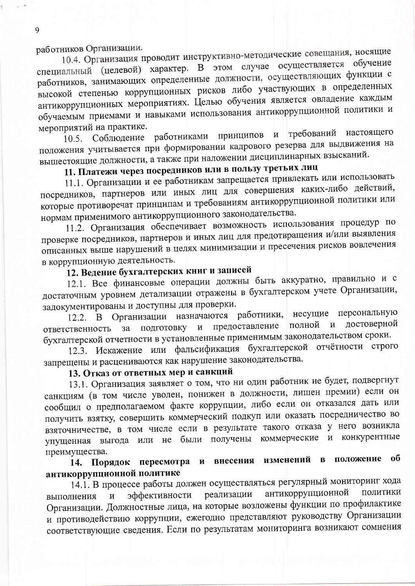работников Организации.

10.4. Организация проводит инструктивно-методические совещания, носящие специальный (целевой) характер. В этом случае осуществляется обучение работников, занимающих определенные должности, осуществляющих функции с высокой степенью коррупционных рисков либо участвующих в определенных антикоррупционных мероприятиях. Целью обучения является овладение каждым обучаемым приемами и навыками использования антикоррупционной политики и мероприятий на практике.

10.5. Соблюдение работниками принципов и требований настоящего положения учитывается при формировании кадрового резерва для выдвижения на вышестоящие должности, а также при наложении дисциплинарных взысканий.

## 11. Платежи через посредников или в пользу третьих лиц

11.1. Организации и ее работникам запрещается привлекать или использовать посредников, партнеров или иных лиц для совершения каких-либо действий, которые противоречат принципам и требованиям антикоррупционной политики или нормам применимого антикоррупционного законодательства.

11.2. Организация обеспечивает возможность использования процедур по проверке посредников, партнеров и иных лиц для предотвращения и/или выявления описанных выше нарушений в целях минимизации и пресечения рисков вовлечения в коррупционную деятельность.

## 12. Ведение бухгалтерских книг и записей

12.1. Все финансовые операции должны быть аккуратно, правильно и с достаточным уровнем детализации отражены в бухгалтерском учете Организации, задокументированы и доступны для проверки.

12.2. В Организации назначаются работники, несущие персональную предоставление достоверной полной и ПОДГОТОВКУ  $\,$  M ответственность за бухгалтерской отчетности в установленные применимым законодательством сроки.

12.3. Искажение или фальсификация бухгалтерской отчётности строго запрещены и расцениваются как нарушение законодательства.

## 13. Отказ от ответных мер и санкций

13.1. Организация заявляет о том, что ни один работник не будет, подвергнут санкциям (в том числе уволен, понижен в должности, лишен премии) если он сообщил о предполагаемом факте коррупции, либо если он отказался дать или получить взятку, совершить коммерческий подкуп или оказать посредничество во взяточничестве, в том числе если в результате такого отказа у него возникла упущенная выгода или не были получены коммерческие и конкурентные преимущества.

и внесения изменений в положение об 14. Порядок пересмотра антикоррупционной политике

14.1. В процессе работы должен осуществляться регулярный мониторинг хода антикоррупционной политики эффективности реализации выполнения  $\mathbf{M}$ Организации. Должностные лица, на которые возложены функции по профилактике и противодействию коррупции, ежегодно представляют руководству Организации соответствующие сведения. Если по результатам мониторинга возникают сомнения